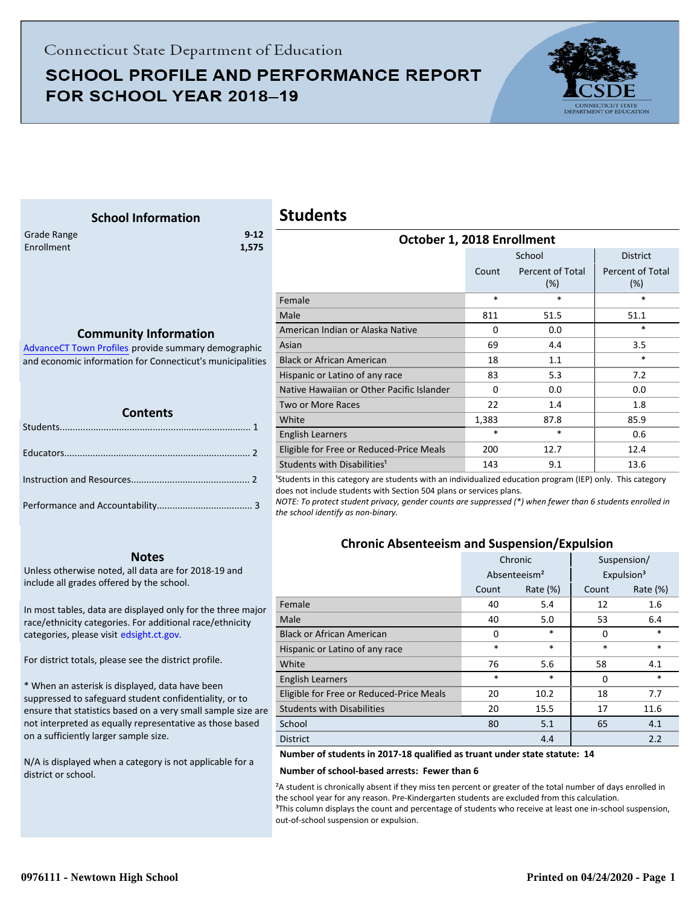# **SCHOOL PROFILE AND PERFORMANCE REPORT** FOR SCHOOL YEAR 2018-19



<span id="page-0-0"></span>

| <b>School Information</b>                                                            | <b>Students</b>                                                                                                                                                                                                                                                                                            |          |                         |                            |
|--------------------------------------------------------------------------------------|------------------------------------------------------------------------------------------------------------------------------------------------------------------------------------------------------------------------------------------------------------------------------------------------------------|----------|-------------------------|----------------------------|
| $9 - 12$<br>Grade Range<br>Enrollment<br>1,575                                       | October 1, 2018 Enrollment                                                                                                                                                                                                                                                                                 |          |                         |                            |
|                                                                                      |                                                                                                                                                                                                                                                                                                            |          | School                  | <b>District</b>            |
|                                                                                      |                                                                                                                                                                                                                                                                                                            | Count    | Percent of Total<br>(%) | Percent of Total<br>$(\%)$ |
|                                                                                      | Female                                                                                                                                                                                                                                                                                                     | $\ast$   | $\ast$                  | $\ast$                     |
| <b>Community Information</b><br>Advance CT Town Profiles provide summary demographic | Male                                                                                                                                                                                                                                                                                                       | 811      | 51.5                    | 51.1                       |
|                                                                                      | American Indian or Alaska Native                                                                                                                                                                                                                                                                           | 0        | 0.0                     | $\ast$                     |
|                                                                                      | Asian                                                                                                                                                                                                                                                                                                      | 69       | 4.4                     | 3.5                        |
| and economic information for Connecticut's municipalities                            | <b>Black or African American</b>                                                                                                                                                                                                                                                                           | 18       | 1.1                     | $\ast$                     |
|                                                                                      | Hispanic or Latino of any race                                                                                                                                                                                                                                                                             | 83       | 5.3                     | 7.2                        |
|                                                                                      | Native Hawaiian or Other Pacific Islander                                                                                                                                                                                                                                                                  | $\Omega$ | 0.0                     | 0.0                        |
|                                                                                      | Two or More Races                                                                                                                                                                                                                                                                                          | 22       | 1.4                     | 1.8                        |
| <b>Contents</b>                                                                      | White                                                                                                                                                                                                                                                                                                      | 1,383    | 87.8                    | 85.9                       |
|                                                                                      | <b>English Learners</b>                                                                                                                                                                                                                                                                                    | $\ast$   | $\ast$                  | 0.6                        |
|                                                                                      | Eligible for Free or Reduced-Price Meals                                                                                                                                                                                                                                                                   | 200      | 12.7                    | 12.4                       |
|                                                                                      | Students with Disabilities <sup>1</sup>                                                                                                                                                                                                                                                                    | 143      | 9.1                     | 13.6                       |
|                                                                                      | <sup>1</sup> Students in this category are students with an individualized education program (IEP) only. This category<br>does not include students with Section 504 plans or services plans.<br>NOTE: To protect student privacy, gender counts are suppressed (*) when fewer than 6 students enrolled in |          |                         |                            |
| the school identify as non-binary.                                                   |                                                                                                                                                                                                                                                                                                            |          |                         |                            |

#### **Notes**

Unless otherwise noted, all data are for 2018-19 and include all grades offered by the school.

[In most tables, data are displayed only for the three major](http://edsight.ct.gov/) race/ethnicity categories. For additional race/ethnicity categories, please visit edsight.ct.gov.

For district totals, please see the district profile.

\* When an asterisk is displayed, data have been suppressed to safeguard student confidentiality, or to ensure that statistics based on a very small sample size are not interpreted as equally representative as those based on a sufficiently larger sample size.

N/A is displayed when a category is not applicable for a district or school.

### **Chronic Absenteeism and Suspension/Expulsion**

|                                          | Chronic |                          |          | Suspension/            |
|------------------------------------------|---------|--------------------------|----------|------------------------|
|                                          |         | Absenteeism <sup>2</sup> |          | Expulsion <sup>3</sup> |
|                                          | Count   | Rate $(\%)$              | Count    | Rate (%)               |
| Female                                   | 40      | 5.4                      | 12       | 1.6                    |
| Male                                     | 40      | 5.0                      | 53       | 6.4                    |
| <b>Black or African American</b>         | 0       | $\ast$                   | 0        | $\ast$                 |
| Hispanic or Latino of any race           | $\ast$  | $\ast$                   | $\ast$   | $\ast$                 |
| White                                    | 76      | 5.6                      | 58       | 4.1                    |
| <b>English Learners</b>                  | *       | $\ast$                   | $\Omega$ | $\ast$                 |
| Eligible for Free or Reduced-Price Meals | 20      | 10.2                     | 18       | 7.7                    |
| <b>Students with Disabilities</b>        | 20      | 15.5                     | 17       | 11.6                   |
| School                                   | 80      | 5.1                      | 65       | 4.1                    |
| <b>District</b>                          |         | 4.4                      |          | 2.2                    |

### **Number of students in 2017-18 qualified as truant under state statute: 14**

#### **Number of school-based arrests: Fewer than 6**

²A student is chronically absent if they miss ten percent or greater of the total number of days enrolled in the school year for any reason. Pre-Kindergarten students are excluded from this calculation. <sup>3</sup>This column displays the count and percentage of students who receive at least one in-school suspension, out-of-school suspension or expulsion.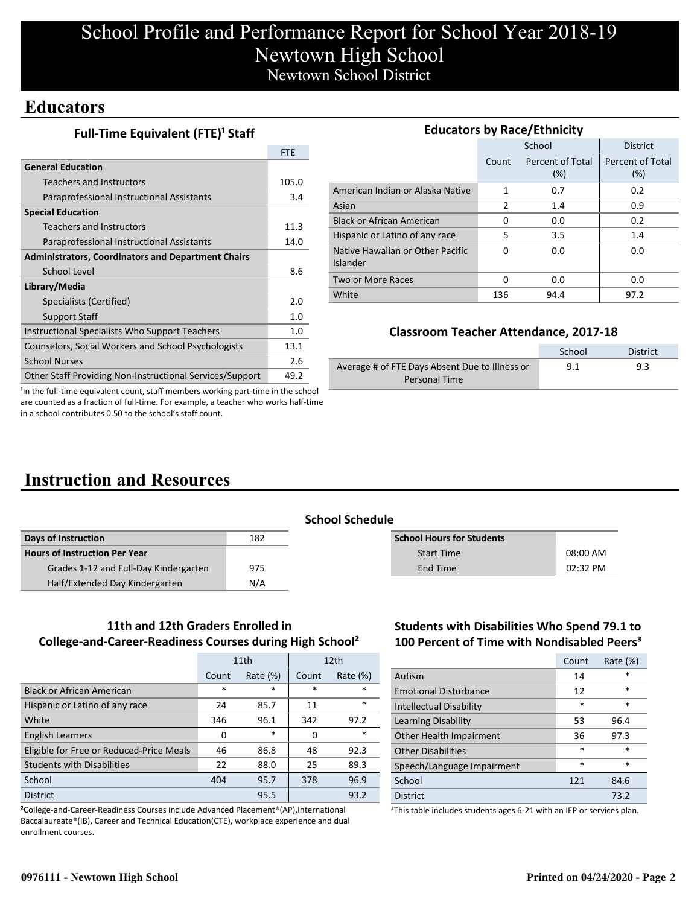## **Educators**

**Full-Time Equivalent (FTE)<sup>1</sup> Staff** 

|                                                           | <b>FTE</b> |
|-----------------------------------------------------------|------------|
| <b>General Education</b>                                  |            |
| <b>Teachers and Instructors</b>                           | 105.0      |
| Paraprofessional Instructional Assistants                 | 3.4        |
| <b>Special Education</b>                                  |            |
| <b>Teachers and Instructors</b>                           | 11.3       |
| Paraprofessional Instructional Assistants                 | 14.0       |
| <b>Administrators, Coordinators and Department Chairs</b> |            |
| School Level                                              | 8.6        |
| Library/Media                                             |            |
| Specialists (Certified)                                   | 2.0        |
| <b>Support Staff</b>                                      | 1.0        |
| Instructional Specialists Who Support Teachers            | 1.0        |
| Counselors, Social Workers and School Psychologists       | 13.1       |
| <b>School Nurses</b>                                      | 2.6        |
| Other Staff Providing Non-Instructional Services/Support  | 49.2       |

| <b>Educators by Race/Ethnicity</b>           |       |                         |                         |  |  |  |
|----------------------------------------------|-------|-------------------------|-------------------------|--|--|--|
|                                              |       | School                  | <b>District</b>         |  |  |  |
|                                              | Count | Percent of Total<br>(%) | Percent of Total<br>(%) |  |  |  |
| American Indian or Alaska Native             | 1     | 0.7                     | 0.2                     |  |  |  |
| Asian                                        | 2     | 1.4                     | 0.9                     |  |  |  |
| <b>Black or African American</b>             | 0     | 0.0                     | 0.2                     |  |  |  |
| Hispanic or Latino of any race               | 5     | 3.5                     | 1.4                     |  |  |  |
| Native Hawaiian or Other Pacific<br>Islander | 0     | 0.0                     | 0.0                     |  |  |  |
| Two or More Races                            | 0     | 0.0                     | 0.0                     |  |  |  |
| White                                        | 136   | 94.4                    | 97.2                    |  |  |  |

### **Classroom Teacher Attendance, 2017-18**

|                                                | School | <b>District</b> |
|------------------------------------------------|--------|-----------------|
| Average # of FTE Days Absent Due to Illness or | 9.1    | 9.3             |
| Personal Time                                  |        |                 |

<sup>1</sup>In the full-time equivalent count, staff members working part-time in the school are counted as a fraction of full-time. For example, a teacher who works half-time in a school contributes 0.50 to the school's staff count.

# **Instruction and Resources**

|                                       | <b>School Schedule</b> |  |                                  |          |  |
|---------------------------------------|------------------------|--|----------------------------------|----------|--|
| Days of Instruction                   | 182                    |  | <b>School Hours for Students</b> |          |  |
| <b>Hours of Instruction Per Year</b>  |                        |  | <b>Start Time</b>                | 08:00 AM |  |
| Grades 1-12 and Full-Day Kindergarten | 975                    |  | End Time                         | 02:32 PM |  |
| Half/Extended Day Kindergarten        | N/A                    |  |                                  |          |  |
|                                       |                        |  |                                  |          |  |

### **11th and 12th Graders Enrolled in College-and-Career-Readiness Courses during High School²**

|                                          | 11th  |             |        | 12 <sub>th</sub> |
|------------------------------------------|-------|-------------|--------|------------------|
|                                          | Count | Rate $(\%)$ | Count  | Rate $(\%)$      |
| <b>Black or African American</b>         | *     | $\ast$      | $\ast$ | $\ast$           |
| Hispanic or Latino of any race           | 24    | 85.7        | 11     | $\ast$           |
| White                                    | 346   | 96.1        | 342    | 97.2             |
| <b>English Learners</b>                  | 0     | $\ast$      | O      | $\ast$           |
| Eligible for Free or Reduced-Price Meals | 46    | 86.8        | 48     | 92.3             |
| <b>Students with Disabilities</b>        | 22    | 88.0        | 25     | 89.3             |
| School                                   | 404   | 95.7        | 378    | 96.9             |
| <b>District</b>                          |       | 95.5        |        | 93.2             |

²College-and-Career-Readiness Courses include Advanced Placement®(AP),International Baccalaureate®(IB), Career and Technical Education(CTE), workplace experience and dual enrollment courses.

### **Students with Disabilities Who Spend 79.1 to 100 Percent of Time with Nondisabled Peers³**

|                              | Count  | Rate (%) |
|------------------------------|--------|----------|
| Autism                       | 14     | $\star$  |
| <b>Emotional Disturbance</b> | 12     | $\ast$   |
| Intellectual Disability      | *      | $\ast$   |
| Learning Disability          | 53     | 96.4     |
| Other Health Impairment      | 36     | 97.3     |
| <b>Other Disabilities</b>    | *      | $\ast$   |
| Speech/Language Impairment   | $\ast$ | $\ast$   |
| School                       | 121    | 84.6     |
| <b>District</b>              |        | 73.2     |

<sup>3</sup>This table includes students ages 6-21 with an IEP or services plan.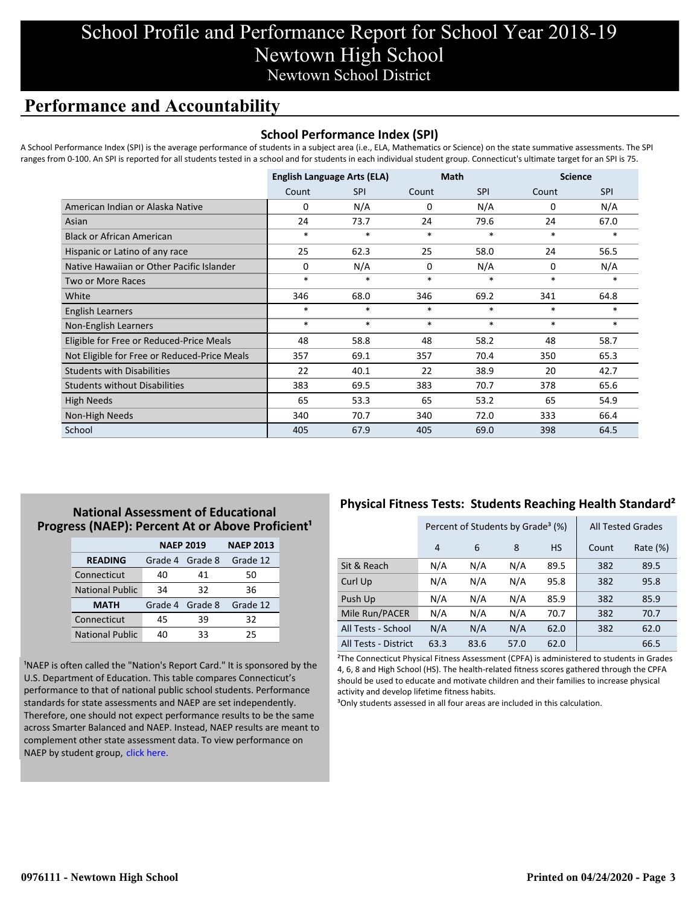## **Performance and Accountability**

### **School Performance Index (SPI)**

A School Performance Index (SPI) is the average performance of students in a subject area (i.e., ELA, Mathematics or Science) on the state summative assessments. The SPI ranges from 0-100. An SPI is reported for all students tested in a school and for students in each individual student group. Connecticut's ultimate target for an SPI is 75.

|                                              | <b>English Language Arts (ELA)</b> |            | <b>Math</b> |            | <b>Science</b> |            |
|----------------------------------------------|------------------------------------|------------|-------------|------------|----------------|------------|
|                                              | Count                              | <b>SPI</b> | Count       | <b>SPI</b> | Count          | <b>SPI</b> |
| American Indian or Alaska Native             | 0                                  | N/A        | 0           | N/A        | 0              | N/A        |
| Asian                                        | 24                                 | 73.7       | 24          | 79.6       | 24             | 67.0       |
| <b>Black or African American</b>             | $\ast$                             | $\ast$     | $\ast$      | $\ast$     | $\ast$         | $\ast$     |
| Hispanic or Latino of any race               | 25                                 | 62.3       | 25          | 58.0       | 24             | 56.5       |
| Native Hawaiian or Other Pacific Islander    | $\Omega$                           | N/A        | 0           | N/A        | 0              | N/A        |
| <b>Two or More Races</b>                     | $\ast$                             | $\ast$     | $\ast$      | $\ast$     | $\ast$         | $\ast$     |
| White                                        | 346                                | 68.0       | 346         | 69.2       | 341            | 64.8       |
| <b>English Learners</b>                      | $\ast$                             | $\ast$     | $\ast$      | $\ast$     | $\ast$         | $\ast$     |
| Non-English Learners                         | $\ast$                             | $\ast$     | $\ast$      | $\ast$     | $\ast$         | $\ast$     |
| Eligible for Free or Reduced-Price Meals     | 48                                 | 58.8       | 48          | 58.2       | 48             | 58.7       |
| Not Eligible for Free or Reduced-Price Meals | 357                                | 69.1       | 357         | 70.4       | 350            | 65.3       |
| <b>Students with Disabilities</b>            | 22                                 | 40.1       | 22          | 38.9       | 20             | 42.7       |
| <b>Students without Disabilities</b>         | 383                                | 69.5       | 383         | 70.7       | 378            | 65.6       |
| <b>High Needs</b>                            | 65                                 | 53.3       | 65          | 53.2       | 65             | 54.9       |
| Non-High Needs                               | 340                                | 70.7       | 340         | 72.0       | 333            | 66.4       |
| School                                       | 405                                | 67.9       | 405         | 69.0       | 398            | 64.5       |

### **National Assessment of Educational Progress (NAEP): Percent At or Above Proficient<sup>1</sup>**

|                        | <b>NAEP 2019</b> | <b>NAEP 2013</b> |          |
|------------------------|------------------|------------------|----------|
| <b>READING</b>         | Grade 4          | Grade 8          | Grade 12 |
| Connecticut            | 40               | 41               | 50       |
| <b>National Public</b> | 34               | 32               | 36       |
| <b>MATH</b>            | Grade 4 Grade 8  |                  | Grade 12 |
| Connecticut            | 45               | 39               | 32       |
| <b>National Public</b> | 40               | 33               | 25       |

<sup>1</sup>NAEP is often called the "Nation's Report Card." It is sponsored by the U.S. Department of Education. This table compares Connecticut's performance to that of national public school students. Performance standards for state assessments and NAEP are set independently. Therefore, one should not expect performance results to be the same [across Smarter Balanced and NAEP. Instead, NAEP results are meant to](https://portal.ct.gov/-/media/SDE/Student-Assessment/NAEP/report-card_NAEP-2019.pdf?la=en) complement other state assessment data. To view performance on NAEP by student group, click here.

## **Physical Fitness Tests: Students Reaching Health Standard²**

|                      | Percent of Students by Grade <sup>3</sup> (%) |      |      |           | <b>All Tested Grades</b> |             |
|----------------------|-----------------------------------------------|------|------|-----------|--------------------------|-------------|
|                      | 4                                             | 6    | 8    | <b>HS</b> | Count                    | Rate $(\%)$ |
| Sit & Reach          | N/A                                           | N/A  | N/A  | 89.5      | 382                      | 89.5        |
| Curl Up              | N/A                                           | N/A  | N/A  | 95.8      | 382                      | 95.8        |
| Push Up              | N/A                                           | N/A  | N/A  | 85.9      | 382                      | 85.9        |
| Mile Run/PACER       | N/A                                           | N/A  | N/A  | 70.7      | 382                      | 70.7        |
| All Tests - School   | N/A                                           | N/A  | N/A  | 62.0      | 382                      | 62.0        |
| All Tests - District | 63.3                                          | 83.6 | 57.0 | 62.0      |                          | 66.5        |

²The Connecticut Physical Fitness Assessment (CPFA) is administered to students in Grades 4, 6, 8 and High School (HS). The health-related fitness scores gathered through the CPFA should be used to educate and motivate children and their families to increase physical activity and develop lifetime fitness habits.

<sup>3</sup>Only students assessed in all four areas are included in this calculation.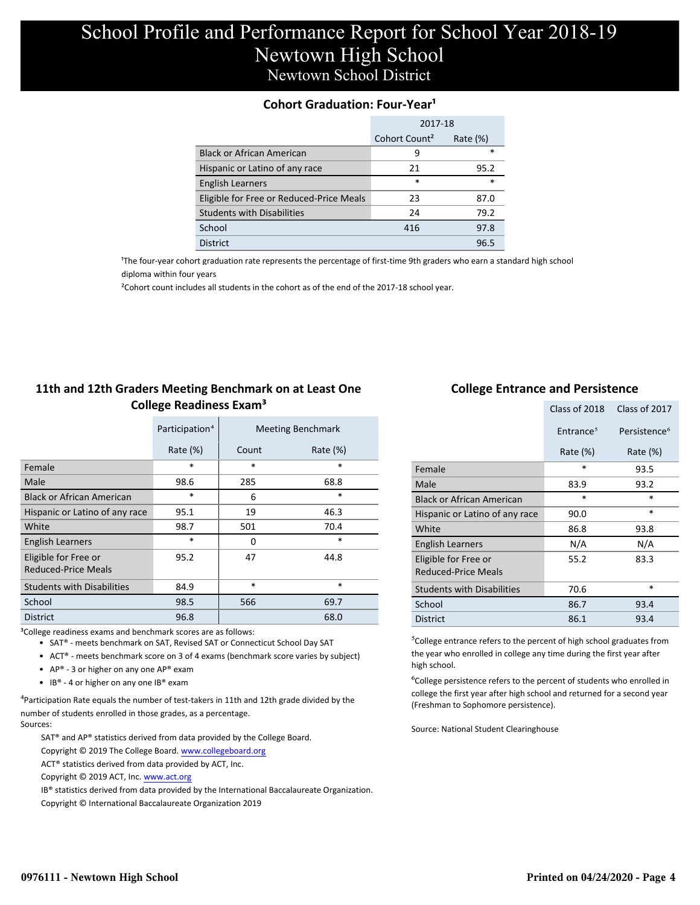### **Cohort Graduation: Four-Year<sup>1</sup>**

|                                          | 2017-18                   |             |  |
|------------------------------------------|---------------------------|-------------|--|
|                                          | Cohort Count <sup>2</sup> | Rate $(\%)$ |  |
| <b>Black or African American</b>         | q                         | *           |  |
| Hispanic or Latino of any race           | 21                        | 95.2        |  |
| <b>English Learners</b>                  | $\ast$                    | $\ast$      |  |
| Eligible for Free or Reduced-Price Meals | 23                        | 87.0        |  |
| <b>Students with Disabilities</b>        | 24                        | 79.2        |  |
| School                                   | 416                       | 97.8        |  |
| <b>District</b>                          |                           | 96.5        |  |

<sup>1</sup>The four-year cohort graduation rate represents the percentage of first-time 9th graders who earn a standard high school [diploma within four years.](http://www.sde.ct.gov/sde/cwp/view.asp?a=2758&q=334898)

²Cohort count includes all students in the cohort as of the end of the 2017-18 school year.

### **11th and 12th Graders Meeting Benchmark on at Least One College Readiness Exam³**

|                                             | Participation <sup>4</sup> |        | <b>Meeting Benchmark</b> |
|---------------------------------------------|----------------------------|--------|--------------------------|
|                                             | Rate $(\%)$                | Count  | Rate $(\%)$              |
| Female                                      | $\ast$                     | $\ast$ | $\ast$                   |
| Male                                        | 98.6                       | 285    | 68.8                     |
| <b>Black or African American</b>            | *                          | 6      | $\ast$                   |
| Hispanic or Latino of any race              | 95.1                       | 19     | 46.3                     |
| White                                       | 98.7                       | 501    | 70.4                     |
| <b>English Learners</b>                     | $\ast$                     | 0      | $\ast$                   |
| Eligible for Free or<br>Reduced-Price Meals | 95.2                       | 47     | 44.8                     |
| <b>Students with Disabilities</b>           | 84.9                       | $\ast$ | $\ast$                   |
| School                                      | 98.5                       | 566    | 69.7                     |
| <b>District</b>                             | 96.8                       |        | 68.0                     |

<sup>3</sup>College readiness exams and benchmark scores are as follows:

- SAT® meets benchmark on SAT, Revised SAT or Connecticut School Day SAT
- ACT® meets benchmark score on 3 of 4 exams (benchmark score varies by subject)
- AP® 3 or higher on any one  $AP^®$  exam
- IB® 4 or higher on any one IB® exam

 $4$ Participation Rate equals the number of test-takers in 11th and 12th grade divided by the number of students enrolled in those grades, as a percentage.

Sources:

SAT® and AP® statistics derived from data provided by the College Board.

Copyright © 2019 The College Board. www.collegeboard.org

- ACT® statistics derived from data provided by ACT, Inc.
- Copyright © 2019 ACT, Inc. www.act.org

IB® statistics derived from data provided by the International Baccalaureate Organization.

Copyright © International Baccalaureate Organization 2019

### **College Entrance and Persistence**

|                                             | Class of 2018         | Class of 2017            |
|---------------------------------------------|-----------------------|--------------------------|
|                                             | Entrance <sup>5</sup> | Persistence <sup>6</sup> |
|                                             | Rate $(\%)$           | Rate $(\%)$              |
| Female                                      | $\ast$                | 93.5                     |
| Male                                        | 83.9                  | 93.2                     |
| <b>Black or African American</b>            | $\ast$                | $\ast$                   |
| Hispanic or Latino of any race              | 90.0                  | *                        |
| White                                       | 86.8                  | 93.8                     |
| <b>English Learners</b>                     | N/A                   | N/A                      |
| Eligible for Free or<br>Reduced-Price Meals | 55.2                  | 83.3                     |
| <b>Students with Disabilities</b>           | 70.6                  | $\ast$                   |
| School                                      | 86.7                  | 93.4                     |
| <b>District</b>                             | 86.1                  | 93.4                     |

⁵College entrance refers to the percent of high school graduates from the year who enrolled in college any time during the first year after high school.

<sup>6</sup>College persistence refers to the percent of students who enrolled in college the first year after high school and returned for a second year (Freshman to Sophomore persistence).

Source: National Student Clearinghouse